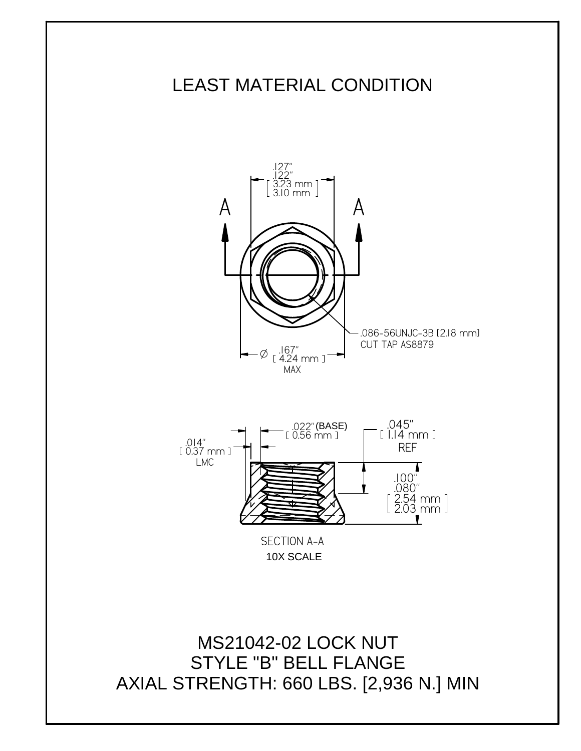## LEAST MATERIAL CONDITION



AXIAL STRENGTH: 660 LBS. [2,936 N.] MIN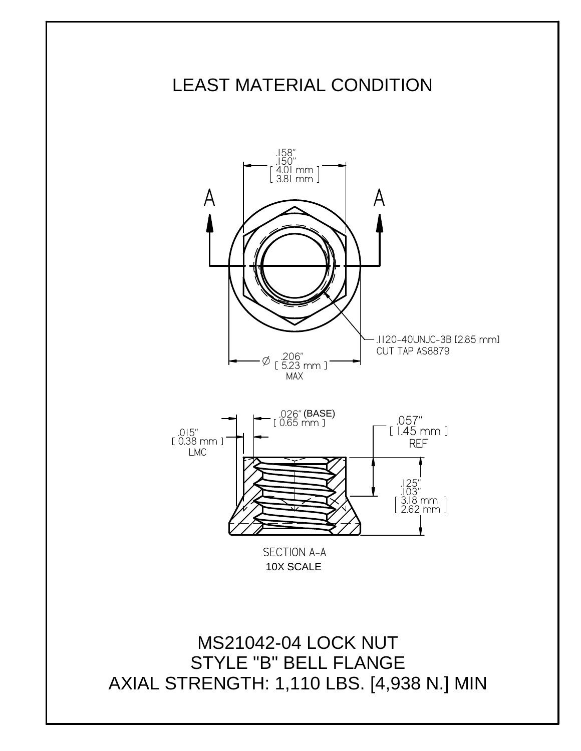## LEAST MATERIAL CONDITION



AXIAL STRENGTH: 1,110 LBS. [4,938 N.] MIN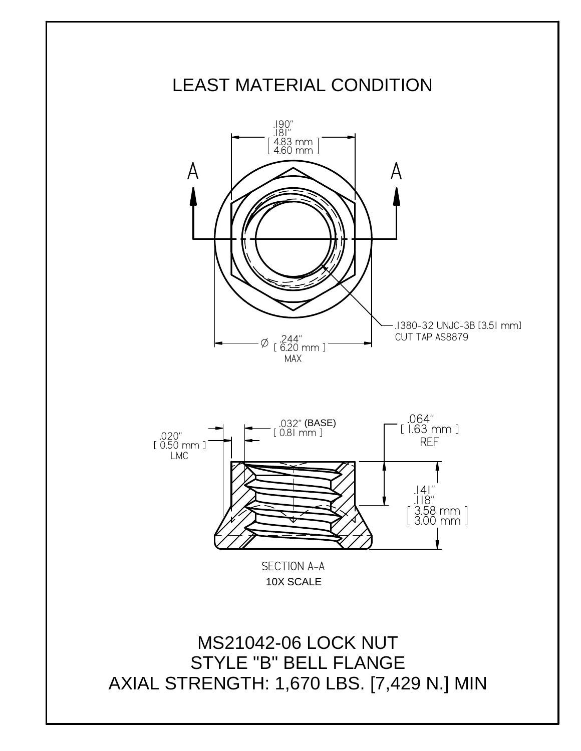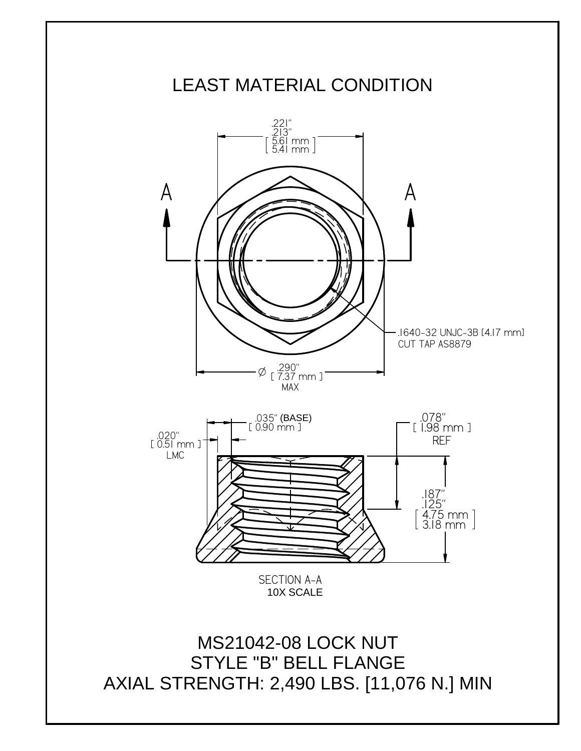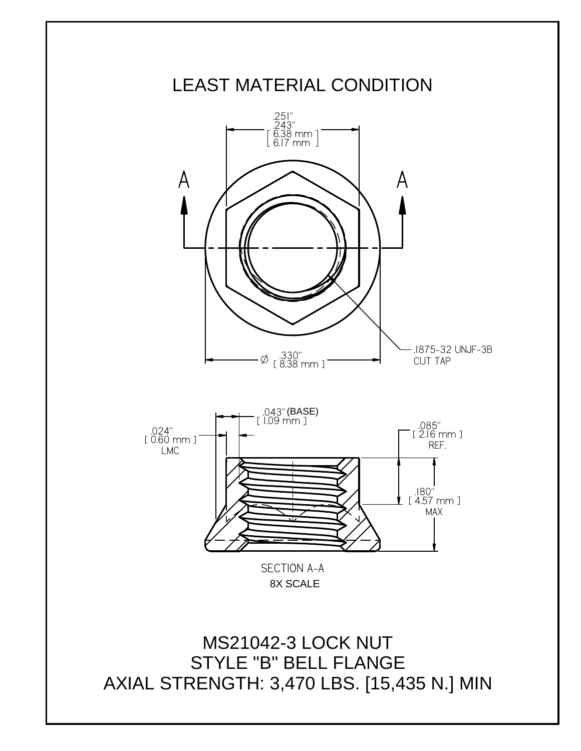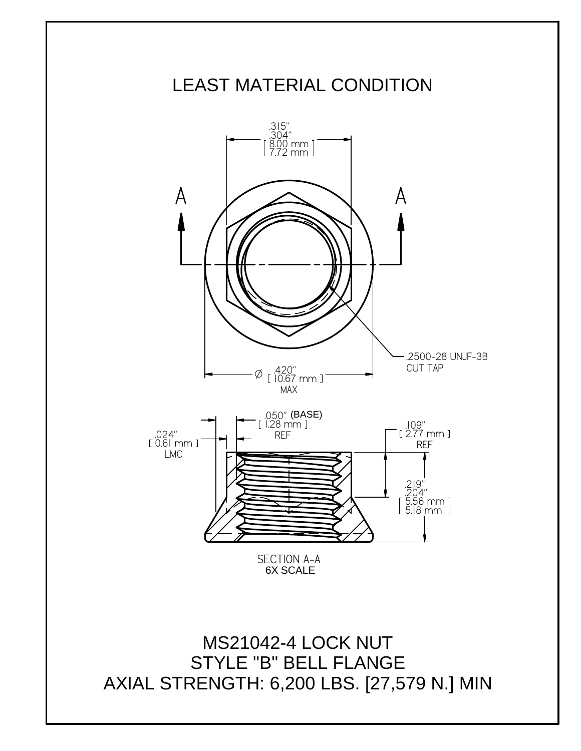## LEAST MATERIAL CONDITION 6X SCALE MS21042-4 LOCK NUT STYLE "B" BELL FLANGE AXIAL STRENGTH: 6,200 LBS. [27,579 N.] MIN  $A$   $\Delta$   $A$ SECTION A-A .315" .304"  $\mathrm{\check{8}}\mathrm{\check{9}}\mathrm{\check{9}}$  mm 7.72 mm <sup>O</sup> .420" 10.67 mm MAX .2500-28 UNJF-3B CUT TAP .109" 2.77 mm REF .219" .204" 5.56 mm 5.18 mm .024" 0.61 mm LMC .050" 1.28 mm REF (BASE)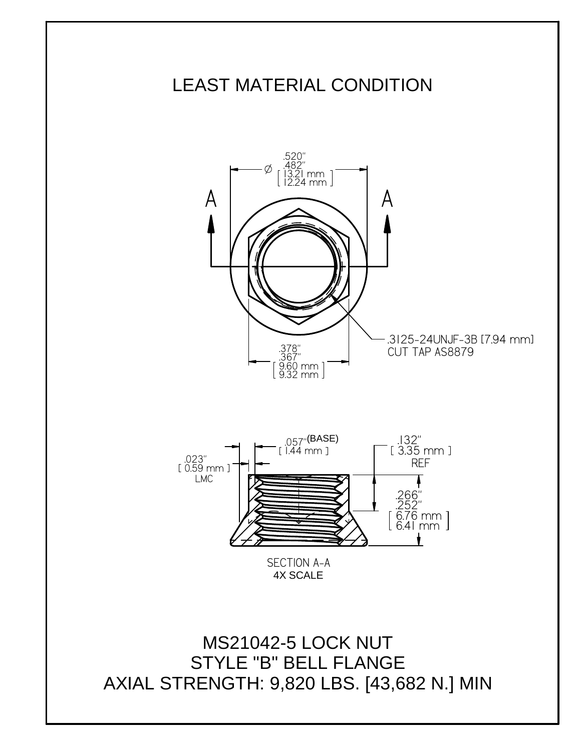